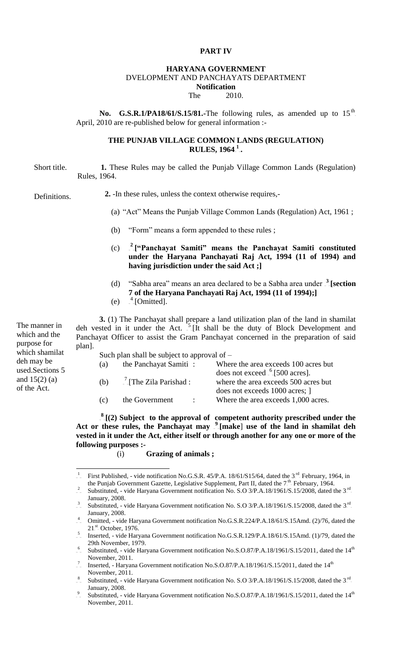### **PART IV**

#### **HARYANA GOVERNMENT** DVELOPMENT AND PANCHAYATS DEPARTMENT **Notification**

#### The 2010.

No. G.S.R.1/PA18/61/S.15/81.-The following rules, as amended up to 15<sup>th</sup>. April, 2010 are re-published below for general information :-

### **THE PUNJAB VILLAGE COMMON LANDS (REGULATION) RULES, 1964.<sup>1</sup>..**

**1.** These Rules may be called the Punjab Village Common Lands (Regulation) Rules, 1964. Short title.

**2.** -In these rules, unless the context otherwise requires,- Definitions.

- (a) "Act" Means the Punjab Village Common Lands (Regulation) Act, 1961 ;
- (b) "Form" means a form appended to these rules ;
- $(c)$ <sup>2</sup> ["Panchayat Samiti" means the Panchayat Samiti constituted **under the Haryana Panchayati Raj Act, 1994 (11 of 1994) and having jurisdiction under the said Act ;]**
- (d) "Sabha area" means an area declared to be a Sabha area under <sup>3</sup>-[section **7 of the Haryana Panchayati Raj Act, 1994 (11 of 1994);]**
- $(e)$  $4$ [Omitted].

**3.** (1) The Panchayat shall prepare a land utilization plan of the land in shamilat deh vested in it under the Act.  $\frac{5}{5}$ . [It shall be the duty of Block Development and Panchayat Officer to assist the Gram Panchayat concerned in the preparation of said plan].

| Such plan shall be subject to approval of $-$ |                                     |                                                                                                                      |  |  |  |  |  |
|-----------------------------------------------|-------------------------------------|----------------------------------------------------------------------------------------------------------------------|--|--|--|--|--|
| (a)                                           | the Panchayat Samiti:               | Where the area exceeds 100 acres but                                                                                 |  |  |  |  |  |
| (b)                                           | $\frac{7}{2}$ The Zila Parishad :   | does not exceed $\frac{6}{6}$ [500 acres].<br>where the area exceeds 500 acres but<br>does not exceeds 1000 acres; 1 |  |  |  |  |  |
| (c)                                           | the Government<br>$\sim$ 100 $\sim$ | Where the area exceeds 1,000 acres.                                                                                  |  |  |  |  |  |

 $\frac{8}{2}$ [(2) Subject to the approval of competent authority prescribed under the Act or these rules, the Panchayat may <sup>9</sup> [make] use of the land in shamilat deh **vested in it under the Act, either itself or through another for any one or more of the following purposes :-**

(i) **Grazing of animals ;**

The manner in which and the purpose for which shamilat deh may be used.Sections 5 and  $15(2)$  (a) of the Act.

<sup>1</sup> First Published, - vide notification No.G.S.R. 45/P.A.  $18/61/S15/64$ , dated the 3<sup>rd</sup> February, 1964, in the Punjab Government Gazette, Legislative Supplement, Part II, dated the 7<sup>th</sup> February, 1964.

<sup>&</sup>lt;sup>2</sup> Substituted, - vide Haryana Government notification No. S.O 3/P.A.18/1961/S.15/2008, dated the 3<sup>rd</sup> January, 2008.

<sup>&</sup>lt;sup>3</sup> Substituted, - vide Haryana Government notification No. S.O 3/P.A.18/1961/S.15/2008, dated the 3<sup>rd</sup>. January, 2008.

<sup>&</sup>lt;sup>4</sup> Omitted, - vide Haryana Government notification No.G.S.R.224/P.A.18/61/S.15Amd. (2)/76, dated the  $21<sup>st</sup>$  October, 1976.

<sup>5</sup> Inserted, - vide Haryana Government notification No.G.S.R.129/P.A.18/61/S.15Amd. (1)/79, dated the 29th November, 1979.

 $\frac{6}{10}$  Substituted, - vide Haryana Government notification No.S.O.87/P.A.18/1961/S.15/2011, dated the 14<sup>th</sup> November, 2011.

<sup>&</sup>lt;sup>7</sup> Inserted, - Haryana Government notification No.S.O.87/P.A.18/1961/S.15/2011, dated the  $14<sup>th</sup>$ November, 2011.

<sup>8</sup> Substituted, - vide Haryana Government notification No. S.O  $3/P.A.18/1961/S.15/2008$ , dated the  $3<sup>rd</sup>$ January, 2008.

<sup>&</sup>lt;sup>9</sup> Substituted, - vide Haryana Government notification No.S.O.87/P.A.18/1961/S.15/2011, dated the 14<sup>th</sup> November, 2011.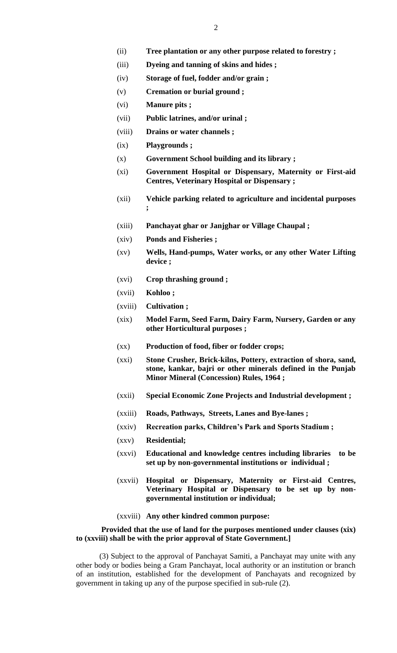- (ii) **Tree plantation or any other purpose related to forestry ;**
- (iii) **Dyeing and tanning of skins and hides ;**
- (iv) **Storage of fuel, fodder and/or grain ;**
- (v) **Cremation or burial ground ;**
- (vi) **Manure pits ;**
- (vii) **Public latrines, and/or urinal ;**
- (viii) **Drains or water channels ;**
- (ix) **Playgrounds ;**
- (x) **Government School building and its library ;**
- (xi) **Government Hospital or Dispensary, Maternity or First-aid Centres, Veterinary Hospital or Dispensary ;**
- (xii) **Vehicle parking related to agriculture and incidental purposes ;**
- (xiii) **Panchayat ghar or Janjghar or Village Chaupal ;**
- (xiv) **Ponds and Fisheries ;**
- (xv) **Wells, Hand-pumps, Water works, or any other Water Lifting device ;**
- (xvi) **Crop thrashing ground ;**
- (xvii) **Kohloo ;**
- (xviii) **Cultivation ;**
- (xix) **Model Farm, Seed Farm, Dairy Farm, Nursery, Garden or any other Horticultural purposes ;**
- (xx) **Production of food, fiber or fodder crops;**
- (xxi) **Stone Crusher, Brick-kilns, Pottery, extraction of shora, sand, stone, kankar, bajri or other minerals defined in the Punjab Minor Mineral (Concession) Rules, 1964 ;**
- (xxii) **Special Economic Zone Projects and Industrial development ;**
- (xxiii) **Roads, Pathways, Streets, Lanes and Bye-lanes ;**
- (xxiv) **Recreation parks, Children's Park and Sports Stadium ;**
- (xxv) **Residential;**
- (xxvi) **Educational and knowledge centres including libraries to be set up by non-governmental institutions or individual ;**
- (xxvii) **Hospital or Dispensary, Maternity or First-aid Centres, Veterinary Hospital or Dispensary to be set up by nongovernmental institution or individual;**
- (xxviii) **Any other kindred common purpose:**

#### **Provided that the use of land for the purposes mentioned under clauses (xix) to (xxviii) shall be with the prior approval of State Government.]**

(3) Subject to the approval of Panchayat Samiti, a Panchayat may unite with any other body or bodies being a Gram Panchayat, local authority or an institution or branch of an institution, established for the development of Panchayats and recognized by government in taking up any of the purpose specified in sub-rule (2).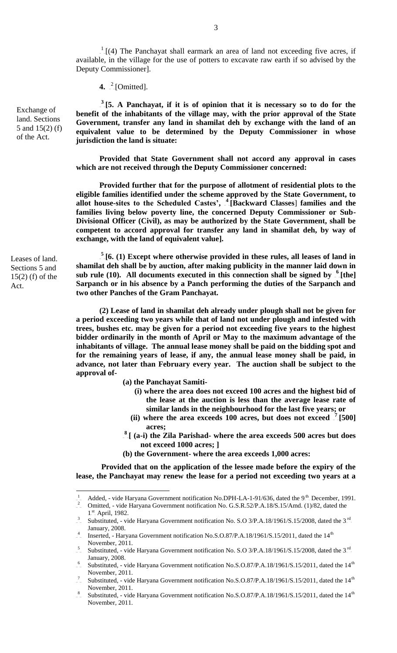$T<sub>-1</sub>(4)$  The Panchayat shall earmark an area of land not exceeding five acres, if available, in the village for the use of potters to excavate raw earth if so advised by the Deputy Commissioner].

**4.**  $\int_{0}^{2}$  [Omitted].

 $3\overline{15}$ . A Panchayat, if it is of opinion that it is necessary so to do for the **benefit of the inhabitants of the village may, with the prior approval of the State Government, transfer any land in shamilat deh by exchange with the land of an equivalent value to be determined by the Deputy Commissioner in whose jurisdiction the land is situate:**

**Provided that State Government shall not accord any approval in cases which are not received through the Deputy Commissioner concerned:** 

 **Provided further that for the purpose of allotment of residential plots to the eligible families identified under the scheme approved by the State Government, to**  allot house-sites to the Scheduled Castes', <sup>4</sup> [Backward Classes] families and the **families living below poverty line, the concerned Deputy Commissioner or Sub-Divisional Officer (Civil), as may be authorized by the State Government, shall be competent to accord approval for transfer any land in shamilat deh, by way of exchange, with the land of equivalent value].** 

 $\frac{5}{3}$  [6. (1) Except where otherwise provided in these rules, all leases of land in **shamilat deh shall be by auction, after making publicity in the manner laid down in**  sub rule (10). All documents executed in this connection shall be signed by <sup>6</sup> [the] **Sarpanch or in his absence by a Panch performing the duties of the Sarpanch and two other Panches of the Gram Panchayat.**

**(2) Lease of land in shamilat deh already under plough shall not be given for a period exceeding two years while that of land not under plough and infested with trees, bushes etc. may be given for a period not exceeding five years to the highest bidder ordinarily in the month of April or May to the maximum advantage of the inhabitants of village. The annual lease money shall be paid on the bidding spot and for the remaining years of lease, if any, the annual lease money shall be paid, in advance, not later than February every year. The auction shall be subject to the approval of-**

**(a) the Panchayat Samiti-**

- **(i) where the area does not exceed 100 acres and the highest bid of the lease at the auction is less than the average lease rate of similar lands in the neighbourhood for the last five years; or**
- (ii) where the area exceeds  $\overline{100}$  acres, but does not exceed  $\overline{7}$ [500] **acres;**
- <sup>8</sup><sub>[(a-i)</sub> the Zila Parishad- where the area exceeds 500 acres but does **not exceed 1000 acres; ]**
- **(b) the Government- where the area exceeds 1,000 acres:**

**Provided that on the application of the lessee made before the expiry of the lease, the Panchayat may renew the lease for a period not exceeding two years at a** 

Leases of land. Sections 5 and 15(2) (f) of the Act.

 1  $\bar{ }$ <sub>2</sub> Added, - vide Haryana Government notification No.DPH-LA-1-91/636, dated the 9<sup>th</sup> December, 1991. Omitted, - vide Haryana Government notification No. G.S.R.52/P.A.18/S.15/Amd. (1)/82, dated the

 $1<sup>st</sup>$  April, 1982.

<sup>&</sup>lt;sup>3</sup> Substituted, - vide Haryana Government notification No. S.O 3/P.A.18/1961/S.15/2008, dated the 3<sup>rd</sup>. January, 2008.

<sup>4</sup> Inserted, - Haryana Government notification No.S.O.87/P.A.18/1961/S.15/2011, dated the  $14<sup>th</sup>$ November, 2011.

<sup>&</sup>lt;sup>5</sup> Substituted, - vide Haryana Government notification No. S.O 3/P.A.18/1961/S.15/2008, dated the 3<sup>rd</sup>. January, 2008.

 $^{6}$  Substituted, - vide Haryana Government notification No.S.O.87/P.A.18/1961/S.15/2011, dated the 14<sup>th</sup> November, 2011.

<sup>7</sup> Substituted, - vide Haryana Government notification No.S.O.87/P.A.18/1961/S.15/2011, dated the 14<sup>th</sup> November, 2011.

<sup>&</sup>lt;sup>8</sup> Substituted, - vide Haryana Government notification No.S.O.87/P.A.18/1961/S.15/2011, dated the 14<sup>th</sup> November, 2011.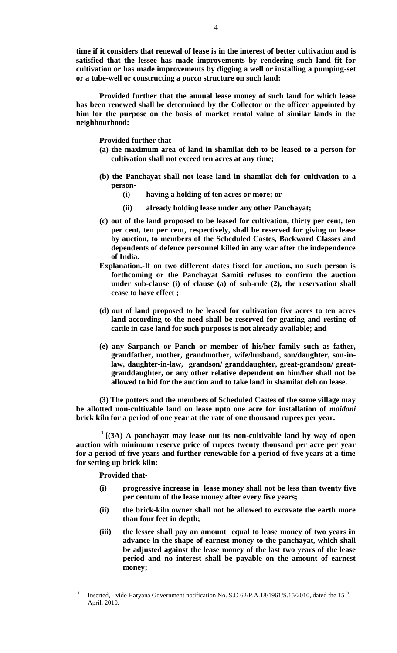**time if it considers that renewal of lease is in the interest of better cultivation and is satisfied that the lessee has made improvements by rendering such land fit for cultivation or has made improvements by digging a well or installing a pumping-set or a tube-well or constructing a** *pucca* **structure on such land:**

 **Provided further that the annual lease money of such land for which lease has been renewed shall be determined by the Collector or the officer appointed by him for the purpose on the basis of market rental value of similar lands in the neighbourhood:**

**Provided further that-**

- **(a) the maximum area of land in shamilat deh to be leased to a person for cultivation shall not exceed ten acres at any time;**
- **(b) the Panchayat shall not lease land in shamilat deh for cultivation to a person-**
	- **(i) having a holding of ten acres or more; or**
	- **(ii)** already holding lease under any other Panchayat;
- **(c) out of the land proposed to be leased for cultivation, thirty per cent, ten per cent, ten per cent, respectively, shall be reserved for giving on lease by auction, to members of the Scheduled Castes, Backward Classes and dependents of defence personnel killed in any war after the independence of India.**
- **Explanation.-If on two different dates fixed for auction, no such person is forthcoming or the Panchayat Samiti refuses to confirm the auction under sub-clause (i) of clause (a) of sub-rule (2), the reservation shall cease to have effect ;**
- **(d) out of land proposed to be leased for cultivation five acres to ten acres land according to the need shall be reserved for grazing and resting of cattle in case land for such purposes is not already available; and**
- **(e) any Sarpanch or Panch or member of his/her family such as father, grandfather, mother, grandmother, wife/husband, son/daughter, son-inlaw, daughter-in-law, grandson/ granddaughter, great-grandson/ greatgranddaughter, or any other relative dependent on him/her shall not be allowed to bid for the auction and to take land in shamilat deh on lease.**

**(3) The potters and the members of Scheduled Castes of the same village may be allotted non-cultivable land on lease upto one acre for installation of** *maidani* **brick kiln for a period of one year at the rate of one thousand rupees per year.**

 $\frac{1}{2}$  [(3A) A panchayat may lease out its non-cultivable land by way of open **auction with minimum reserve price of rupees twenty thousand per acre per year for a period of five years and further renewable for a period of five years at a time for setting up brick kiln:** 

**Provided that-**

- **(i) progressive increase in lease money shall not be less than twenty five per centum of the lease money after every five years;**
- **(ii) the brick-kiln owner shall not be allowed to excavate the earth more than four feet in depth;**
- **(iii) the lessee shall pay an amount equal to lease money of two years in advance in the shape of earnest money to the panchayat, which shall be adjusted against the lease money of the last two years of the lease period and no interest shall be payable on the amount of earnest money;**

<sup>1</sup> Inserted, - vide Haryana Government notification No. S.O  $62/P.A.18/1961/S.15/2010$ , dated the 15<sup>th</sup> April, 2010.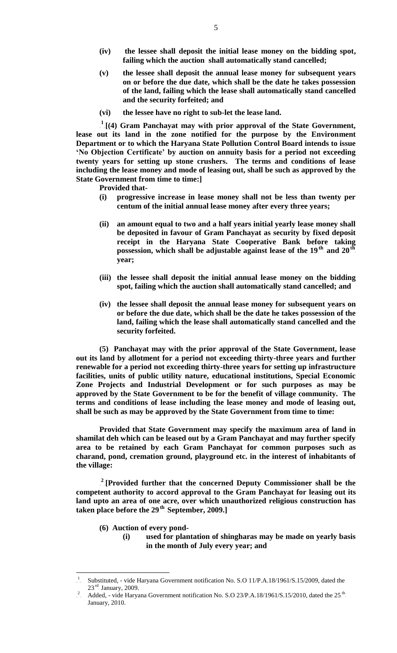- **(iv) the lessee shall deposit the initial lease money on the bidding spot, failing which the auction shall automatically stand cancelled;**
- **(v) the lessee shall deposit the annual lease money for subsequent years on or before the due date, which shall be the date he takes possession of the land, failing which the lease shall automatically stand cancelled and the security forfeited; and**
- **(vi) the lessee have no right to sub-let the lease land.**

 $1$ <sup>1</sup>[(4) Gram Panchayat may with prior approval of the State Government, **lease out its land in the zone notified for the purpose by the Environment Department or to which the Haryana State Pollution Control Board intends to issue 'No Objection Certificate' by auction on annuity basis for a period not exceeding twenty years for setting up stone crushers. The terms and conditions of lease including the lease money and mode of leasing out, shall be such as approved by the State Government from time to time:]**

**Provided that-**

- **(i) progressive increase in lease money shall not be less than twenty per centum of the initial annual lease money after every three years;**
- **(ii) an amount equal to two and a half years initial yearly lease money shall be deposited in favour of Gram Panchayat as security by fixed deposit receipt in the Haryana State Cooperative Bank before taking**  possession, which shall be adjustable against lease of the 19<sup>th</sup> and 20<sup>th</sup>. **year;**
- **(iii) the lessee shall deposit the initial annual lease money on the bidding spot, failing which the auction shall automatically stand cancelled; and**
- **(iv) the lessee shall deposit the annual lease money for subsequent years on or before the due date, which shall be the date he takes possession of the land, failing which the lease shall automatically stand cancelled and the security forfeited.**

**(5) Panchayat may with the prior approval of the State Government, lease out its land by allotment for a period not exceeding thirty-three years and further renewable for a period not exceeding thirty-three years for setting up infrastructure facilities, units of public utility nature, educational institutions, Special Economic Zone Projects and Industrial Development or for such purposes as may be approved by the State Government to be for the benefit of village community. The terms and conditions of lease including the lease money and mode of leasing out, shall be such as may be approved by the State Government from time to time:**

**Provided that State Government may specify the maximum area of land in shamilat deh which can be leased out by a Gram Panchayat and may further specify area to be retained by each Gram Panchayat for common purposes such as charand, pond, cremation ground, playground etc. in the interest of inhabitants of the village:**

<sup>2</sup> [Provided further that the concerned Deputy Commissioner shall be the **competent authority to accord approval to the Gram Panchayat for leasing out its land upto an area of one acre, over which unauthorized religious construction has**  taken place before the 29<sup>th</sup> September, 2009.]

**(6) Auction of every pond-**

 $\overline{a}$ 

**(i) used for plantation of shingharas may be made on yearly basis in the month of July every year; and**

<sup>1</sup> Substituted, - vide Haryana Government notification No. S.O 11/P.A.18/1961/S.15/2009, dated the 23.<sup>rd</sup>. January, 2009.

<sup>&</sup>lt;sup>2</sup> Added, - vide Haryana Government notification No. S.O 23/P.A.18/1961/S.15/2010, dated the 25<sup>th</sup> January, 2010.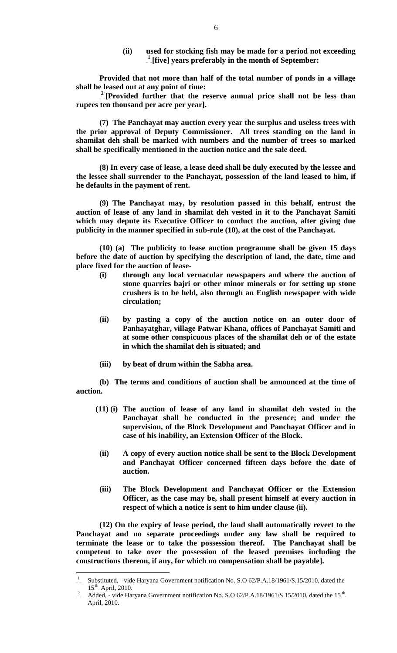**(ii) used for stocking fish may be made for a period not exceeding**  <sup>1</sup>[five] years preferably in the month of September:

**Provided that not more than half of the total number of ponds in a village shall be leased out at any point of time:**

<sup>2</sup> [Provided further that the reserve annual price shall not be less than **rupees ten thousand per acre per year].**

**(7) The Panchayat may auction every year the surplus and useless trees with the prior approval of Deputy Commissioner. All trees standing on the land in shamilat deh shall be marked with numbers and the number of trees so marked shall be specifically mentioned in the auction notice and the sale deed.**

**(8) In every case of lease, a lease deed shall be duly executed by the lessee and the lessee shall surrender to the Panchayat, possession of the land leased to him, if he defaults in the payment of rent.** 

**(9) The Panchayat may, by resolution passed in this behalf, entrust the auction of lease of any land in shamilat deh vested in it to the Panchayat Samiti which may depute its Executive Officer to conduct the auction, after giving due publicity in the manner specified in sub-rule (10), at the cost of the Panchayat.**

**(10) (a) The publicity to lease auction programme shall be given 15 days before the date of auction by specifying the description of land, the date, time and place fixed for the auction of lease-**

- **(i) through any local vernacular newspapers and where the auction of stone quarries bajri or other minor minerals or for setting up stone crushers is to be held, also through an English newspaper with wide circulation;**
- **(ii) by pasting a copy of the auction notice on an outer door of Panhayatghar, village Patwar Khana, offices of Panchayat Samiti and at some other conspicuous places of the shamilat deh or of the estate in which the shamilat deh is situated; and**
- **(iii) by beat of drum within the Sabha area.**

**(b) The terms and conditions of auction shall be announced at the time of auction.**

- **(11) (i) The auction of lease of any land in shamilat deh vested in the Panchayat shall be conducted in the presence; and under the supervision, of the Block Development and Panchayat Officer and in case of his inability, an Extension Officer of the Block.**
	- **(ii) A copy of every auction notice shall be sent to the Block Development and Panchayat Officer concerned fifteen days before the date of auction.**
	- **(iii) The Block Development and Panchayat Officer or the Extension Officer, as the case may be, shall present himself at every auction in respect of which a notice is sent to him under clause (ii).**

**(12) On the expiry of lease period, the land shall automatically revert to the Panchayat and no separate proceedings under any law shall be required to terminate the lease or to take the possession thereof. The Panchayat shall be competent to take over the possession of the leased premises including the constructions thereon, if any, for which no compensation shall be payable].** 

 $\frac{1}{\sqrt{2}}$ Substituted, - vide Haryana Government notification No. S.O 62/P.A.18/1961/S.15/2010, dated the  $15<sup>th</sup>$  April, 2010.

<sup>2</sup> Added, - vide Haryana Government notification No. S.O  $62/P.A.18/1961/S.15/2010$ , dated the  $15<sup>th</sup>$ . April, 2010.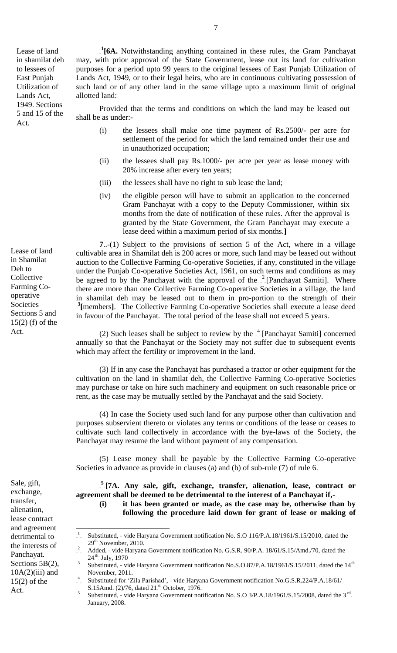Lease of land in shamilat deh to lessees of East Punjab Utilization of Lands Act, 1949. Sections 5 and 15 of the Act.

<sup>1</sup>[6A. Notwithstanding anything contained in these rules, the Gram Panchayat may, with prior approval of the State Government, lease out its land for cultivation purposes for a period upto 99 years to the original lessees of East Punjab Utilization of Lands Act, 1949, or to their legal heirs, who are in continuous cultivating possession of such land or of any other land in the same village upto a maximum limit of original allotted land:

Provided that the terms and conditions on which the land may be leased out shall be as under:-

- (i) the lessees shall make one time payment of Rs.2500/- per acre for settlement of the period for which the land remained under their use and in unauthorized occupation;
- (ii) the lessees shall pay Rs.1000/- per acre per year as lease money with 20% increase after every ten years;
- (iii) the lessees shall have no right to sub lease the land;
- (iv) the eligible person will have to submit an application to the concerned Gram Panchayat with a copy to the Deputy Commissioner, within six months from the date of notification of these rules. After the approval is granted by the State Government, the Gram Panchayat may execute a lease deed within a maximum period of six months.**]**

**7**..-(1) Subject to the provisions of section 5 of the Act, where in a village cultivable area in Shamilat deh is 200 acres or more, such land may be leased out without auction to the Collective Farming Co-operative Societies, if any, constituted in the village under the Punjab Co-operative Societies Act, 1961, on such terms and conditions as may be agreed to by the Panchayat with the approval of the  $2$ -[Panchayat Samiti]. Where there are more than one Collective Farming Co-operative Societies in a village, the land in shamilat deh may be leased out to them in pro-portion to the strength of their <sup>3</sup> [members]. The Collective Farming Co-operative Societies shall execute a lease deed in favour of the Panchayat. The total period of the lease shall not exceed 5 years.

(2) Such leases shall be subject to review by the  $^{4}$ -[Panchayat Samiti] concerned annually so that the Panchayat or the Society may not suffer due to subsequent events which may affect the fertility or improvement in the land.

(3) If in any case the Panchayat has purchased a tractor or other equipment for the cultivation on the land in shamilat deh, the Collective Farming Co-operative Societies may purchase or take on hire such machinery and equipment on such reasonable price or rent, as the case may be mutually settled by the Panchayat and the said Society.

(4) In case the Society used such land for any purpose other than cultivation and purposes subservient thereto or violates any terms or conditions of the lease or ceases to cultivate such land collectively in accordance with the bye-laws of the Society, the Panchayat may resume the land without payment of any compensation.

(5) Lease money shall be payable by the Collective Farming Co-operative Societies in advance as provide in clauses (a) and (b) of sub-rule (7) of rule 6.

<sup>5</sup> [7A. Any sale, gift, exchange, transfer, alienation, lease, contract or **agreement shall be deemed to be detrimental to the interest of a Panchayat if,- (i) it has been granted or made, as the case may be, otherwise than by following the procedure laid down for grant of lease or making of** 

Lease of land in Shamilat Deh to **Collective** Farming Cooperative Societies Sections 5 and 15(2) (f) of the Act.

Sale, gift, exchange, transfer, alienation, lease contract and agreement detrimental to the interests of Panchayat. Sections 5B(2),  $10A(2)$ (iii) and 15(2) of the Act.

<sup>1</sup> Substituted, - vide Haryana Government notification No. S.O 116/P.A.18/1961/S.15/2010, dated the  $29<sup>th</sup>$  November, 2010.

<sup>2</sup> Added, - vide Haryana Government notification No. G.S.R. 90/P.A. 18/61/S.15/Amd./70, dated the  $24<sup>th</sup>$  July, 1970

<sup>&</sup>lt;sup>3</sup> Substituted, - vide Haryana Government notification No.S.O.87/P.A.18/1961/S.15/2011, dated the 14<sup>th</sup> November, 2011.

<sup>4</sup> Substituted for 'Zila Parishad', - vide Haryana Government notification No.G.S.R.224/P.A.18/61/ S.15Amd.  $(2)/76$ , dated  $21<sup>st</sup>$ . October, 1976.

<sup>&</sup>lt;sup>5</sup> Substituted, - vide Haryana Government notification No. S.O 3/P.A.18/1961/S.15/2008, dated the 3<sup>rd</sup>. January, 2008.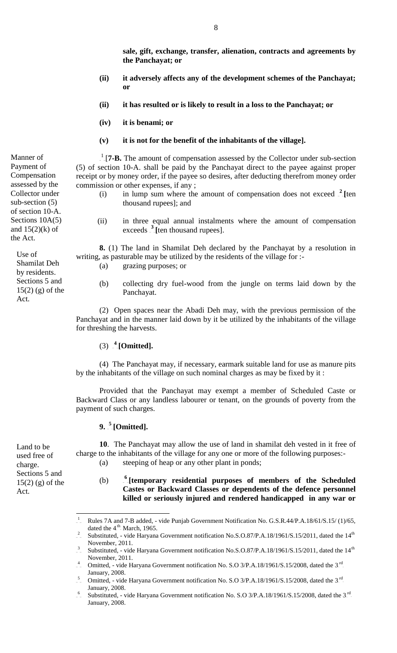**sale, gift, exchange, transfer, alienation, contracts and agreements by the Panchayat; or**

- **(ii) it adversely affects any of the development schemes of the Panchayat; or**
- **(ii) it has resulted or is likely to result in a loss to the Panchayat; or**
- **(iv) it is benami; or**
- **(v) it is not for the benefit of the inhabitants of the village].**

 $1$ <sub>-</sub>[7-**B.** The amount of compensation assessed by the Collector under sub-section (5) of section 10-A. shall be paid by the Panchayat direct to the payee against proper receipt or by money order, if the payee so desires, after deducting therefrom money order commission or other expenses, if any ;

- (i) in lump sum where the amount of compensation does not exceed  $2$ <sup>-1</sup> [ten] thousand rupees]; and
	- (ii) in three equal annual instalments where the amount of compensation  $\epsilon$ xceeds  $\frac{3}{5}$  [ten thousand rupees].

**8.** (1) The land in Shamilat Deh declared by the Panchayat by a resolution in writing, as pasturable may be utilized by the residents of the village for :-

- (a) grazing purposes; or
- (b) collecting dry fuel-wood from the jungle on terms laid down by the Panchayat.

(2) Open spaces near the Abadi Deh may, with the previous permission of the Panchayat and in the manner laid down by it be utilized by the inhabitants of the village for threshing the harvests.

## $(3)$   $^{4}$  [Omitted].

 (4) The Panchayat may, if necessary, earmark suitable land for use as manure pits by the inhabitants of the village on such nominal charges as may be fixed by it :

 Provided that the Panchayat may exempt a member of Scheduled Caste or Backward Class or any landless labourer or tenant, on the grounds of poverty from the payment of such charges.

### **9.**  $\frac{5}{7}$  [Omitted].

**10**. The Panchayat may allow the use of land in shamilat deh vested in it free of charge to the inhabitants of the village for any one or more of the following purposes:-

(a) steeping of heap or any other plant in ponds;

 $(b)$ <sup>6</sup> [temporary residential purposes of members of the Scheduled **Castes or Backward Classes or dependents of the defence personnel killed or seriously injured and rendered handicapped in any war or** 

2 Substituted, - vide Haryana Government notification No.S.O.87/P.A.18/1961/S.15/2011, dated the  $14<sup>th</sup>$ November, 2011.

Manner of Payment of Compensation assessed by the Collector under sub-section (5) of section 10-A. Sections 10A(5) and  $15(2)(k)$  of the Act.

Use of Shamilat Deh by residents. Sections 5 and 15(2) (g) of the Act.

Land to be used free of charge.

Act.

Sections 5 and 15(2) (g) of the

 1 Rules 7A and 7-B added, - vide Punjab Government Notification No. G.S.R.44/P.A.18/61/S.15/ (1)/65, dated the  $4<sup>th</sup>$ . March, 1965.

<sup>&</sup>lt;sup>3</sup> Substituted, - vide Haryana Government notification No.S.O.87/P.A.18/1961/S.15/2011, dated the 14<sup>th</sup> November, 2011.

<sup>&</sup>lt;sup>4</sup> Omitted, - vide Haryana Government notification No. S.O 3/P.A.18/1961/S.15/2008, dated the 3<sup>rd</sup>. January, 2008.

<sup>5</sup> Omitted, - vide Haryana Government notification No. S.O 3/P.A.18/1961/S.15/2008, dated the  $3<sup>rd</sup>$ . January, 2008.

<sup>6</sup> Substituted, - vide Haryana Government notification No. S.O 3/P.A.18/1961/S.15/2008, dated the 3<sup>rd</sup>. January, 2008.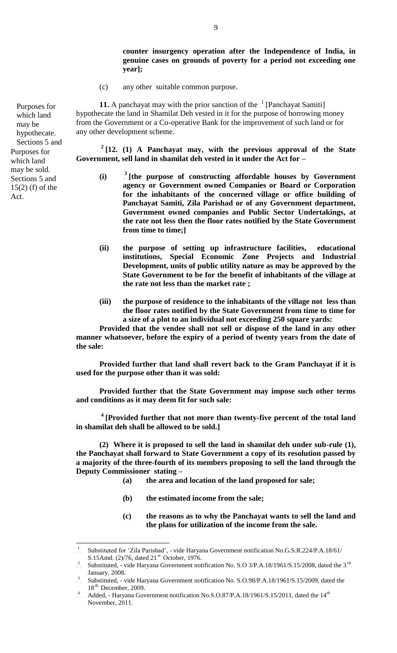**counter insurgency operation after the Independence of India, in genuine cases on grounds of poverty for a period not exceeding one year];**

(c) any other suitable common purpose.

**11.** A panchayat may with the prior sanction of the  $\frac{1}{x}$  [Panchayat Samiti] hypothecate the land in Shamilat Deh vested in it for the purpose of borrowing money from the Government or a Co-operative Bank for the improvement of such land or for any other development scheme.

 $2^{2}[12. (1)$  A Panchayat may, with the previous approval of the State **Government, sell land in shamilat deh vested in it under the Act for –**

- (i) <sup>3</sup> [the purpose of constructing affordable houses by Government **agency or Government owned Companies or Board or Corporation for the inhabitants of the concerned village or office building of Panchayat Samiti, Zila Parishad or of any Government department, Government owned companies and Public Sector Undertakings, at the rate not less then the floor rates notified by the State Government from time to time;]**
- **(ii) the purpose of setting up infrastructure facilities, educational institutions, Special Economic Zone Projects and Industrial Development, units of public utility nature as may be approved by the State Government to be for the benefit of inhabitants of the village at the rate not less than the market rate ;**
- **(iii) the purpose of residence to the inhabitants of the village not less than the floor rates notified by the State Government from time to time for a size of a plot to an individual not exceeding 250 square yards:**

**Provided that the vendee shall not sell or dispose of the land in any other manner whatsoever, before the expiry of a period of twenty years from the date of the sale:**

**Provided further that land shall revert back to the Gram Panchayat if it is used for the purpose other than it was sold:** 

**Provided further that the State Government may impose such other terms and conditions as it may deem fit for such sale:**

<sup>4</sup> [Provided further that not more than twenty-five percent of the total land **in shamilat deh shall be allowed to be sold.]**

**(2) Where it is proposed to sell the land in shamilat deh under sub-rule (1), the Panchayat shall forward to State Government a copy of its resolution passed by a majority of the three-fourth of its members proposing to sell the land through the Deputy Commissioner stating –**

- **(a) the area and location of the land proposed for sale;**
- **(b) the estimated income from the sale;**
- **(c) the reasons as to why the Panchayat wants to sell the land and the plans for utilization of the income from the sale.**

<sup>&</sup>lt;sup>1</sup> Substituted for 'Zila Parishad', - vide Haryana Government notification No.G.S.R.224/P.A.18/61/ S.15Amd.  $(2)/76$ , dated  $21<sup>st</sup>$  October, 1976.

<sup>&</sup>lt;sup>2</sup> Substituted, - vide Haryana Government notification No. S.O 3/P.A.18/1961/S.15/2008, dated the 3<sup>rd</sup> January, 2008.

<sup>3</sup> Substituted, - vide Haryana Government notification No. S.O.98/P.A.18/1961/S.15/2009, dated the  $18<sup>th</sup>$ . December, 2009.

<sup>4</sup> Added, - Haryana Government notification No.S.O.87/P.A.18/1961/S.15/2011, dated the 14<sup>th</sup> November, 2011.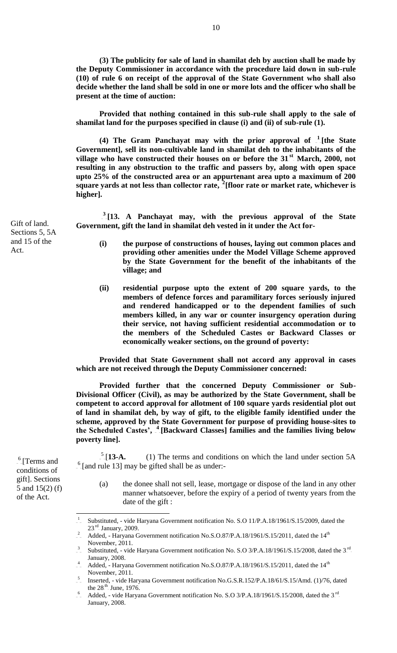**(3) The publicity for sale of land in shamilat deh by auction shall be made by the Deputy Commissioner in accordance with the procedure laid down in sub-rule (10) of rule 6 on receipt of the approval of the State Government who shall also decide whether the land shall be sold in one or more lots and the officer who shall be present at the time of auction:**

**Provided that nothing contained in this sub-rule shall apply to the sale of shamilat land for the purposes specified in clause (i) and (ii) of sub-rule (1).**

(4) The Gram Panchayat may with the prior approval of  $\frac{1}{\epsilon}$  [the State **Government], sell its non-cultivable land in shamilat deh to the inhabitants of the**  village who have constructed their houses on or before the 31<sup>st</sup> March, 2000, not **resulting in any obstruction to the traffic and passers by, along with open space upto 25% of the constructed area or an appurtenant area upto a maximum of 200**  square yards at not less than collector rate, <sup>2</sup>[floor rate or market rate, whichever is **higher].**

<sup>3</sup>[13. A Panchayat may, with the previous approval of the State **Government, gift the land in shamilat deh vested in it under the Act for-**

- **(i) the purpose of constructions of houses, laying out common places and providing other amenities under the Model Village Scheme approved by the State Government for the benefit of the inhabitants of the village; and**
- **(ii) residential purpose upto the extent of 200 square yards, to the members of defence forces and paramilitary forces seriously injured and rendered handicapped or to the dependent families of such members killed, in any war or counter insurgency operation during their service, not having sufficient residential accommodation or to the members of the Scheduled Castes or Backward Classes or economically weaker sections, on the ground of poverty:**

**Provided that State Government shall not accord any approval in cases which are not received through the Deputy Commissioner concerned:** 

 **Provided further that the concerned Deputy Commissioner or Sub-Divisional Officer (Civil), as may be authorized by the State Government, shall be competent to accord approval for allotment of 100 square yards residential plot out of land in shamilat deh, by way of gift, to the eligible family identified under the scheme, approved by the State Government for purpose of providing house-sites to**  the Scheduled Castes', <sup>4</sup> [Backward Classes] families and the families living below **poverty line].**

TPTP 1  $\frac{5}{113}$ -A. (1) The terms and conditions on which the land under section 5A  $<sup>6</sup>$ [and rule 13] may be gifted shall be as under:-</sup>

(a) the donee shall not sell, lease, mortgage or dispose of the land in any other manner whatsoever, before the expiry of a period of twenty years from the date of the gift :

Gift of land. Sections 5, 5A and 15 of the Act.

> $^6$ [Terms and conditions of gift]. Sections 5 and 15(2) (f) of the Act.

 1 Substituted, - vide Haryana Government notification No. S.O 11/P.A.18/1961/S.15/2009, dated the 23.<sup>rd</sup>. January, 2009.

<sup>2</sup> Added, - Haryana Government notification No.S.O.87/P.A.18/1961/S.15/2011, dated the 14<sup>th</sup> November, 2011.

<sup>&</sup>lt;sup>3</sup> Substituted, - vide Haryana Government notification No. S.O 3/P.A.18/1961/S.15/2008, dated the 3<sup>rd</sup>. January, 2008.

 $^{4}$  Added, - Haryana Government notification No.S.O.87/P.A.18/1961/S.15/2011, dated the 14<sup>th</sup> November, 2011.

<sup>5</sup> Inserted, - vide Haryana Government notification No.G.S.R.152/P.A.18/61/S.15/Amd. (1)/76, dated the  $28<sup>th</sup>$  June, 1976. 6

Added, - vide Haryana Government notification No. S.O  $3/P.A.18/1961/S.15/2008$ , dated the  $3<sup>rd</sup>$ . January, 2008.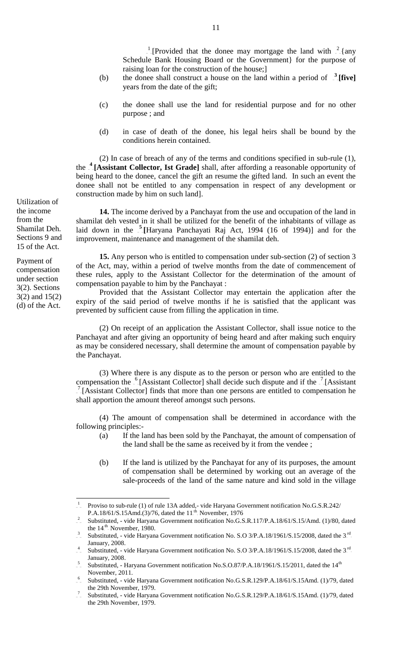TPTP <sup>1</sup>-[Provided that the donee may mortgage the land with  $\frac{2}{\pi}$ -[any Schedule Bank Housing Board or the Government} for the purpose of raising loan for the construction of the house;]

- (b) the donee shall construct a house on the land within a period of  $\frac{3}{2}$ **[five]** years from the date of the gift;
- (c) the donee shall use the land for residential purpose and for no other purpose ; and
- (d) in case of death of the donee, his legal heirs shall be bound by the conditions herein contained.

(2) In case of breach of any of the terms and conditions specified in sub-rule (1), the <sup>4</sup> [Assistant Collector, Ist Grade] shall, after affording a reasonable opportunity of being heard to the donee, cancel the gift an resume the gifted land. In such an event the donee shall not be entitled to any compensation in respect of any development or construction made by him on such land].

**14.** The income derived by a Panchayat from the use and occupation of the land in shamilat deh vested in it shall be utilized for the benefit of the inhabitants of village as laid down in the <sup>5</sup>-[Haryana Panchayati Raj Act, 1994 (16 of 1994)] and for the improvement, maintenance and management of the shamilat deh.

**15.** Any person who is entitled to compensation under sub-section (2) of section 3 of the Act, may, within a period of twelve months from the date of commencement of these rules, apply to the Assistant Collector for the determination of the amount of compensation payable to him by the Panchayat :

Provided that the Assistant Collector may entertain the application after the expiry of the said period of twelve months if he is satisfied that the applicant was prevented by sufficient cause from filling the application in time.

(2) On receipt of an application the Assistant Collector, shall issue notice to the Panchayat and after giving an opportunity of being heard and after making such enquiry as may be considered necessary, shall determine the amount of compensation payable by the Panchayat.

(3) Where there is any dispute as to the person or person who are entitled to the compensation the  $\frac{6}{5}$ [Assistant Collector] shall decide such dispute and if the  $\frac{7}{5}$ [Assistant  $T$ <sup>T</sup>[Assistant Collector] finds that more than one persons are entitled to compensation he shall apportion the amount thereof amongst such persons.

(4) The amount of compensation shall be determined in accordance with the following principles:-

- (a) If the land has been sold by the Panchayat, the amount of compensation of the land shall be the same as received by it from the vendee ;
- (b) If the land is utilized by the Panchayat for any of its purposes, the amount of compensation shall be determined by working out an average of the sale-proceeds of the land of the same nature and kind sold in the village

Utilization of the income from the Shamilat Deh. Sections 9 and 15 of the Act.

Payment of compensation under section 3(2). Sections 3(2) and 15(2) (d) of the Act.

 1 Proviso to sub-rule (1) of rule 13A added,- vide Haryana Government notification No.G.S.R.242/ P.A.18/61/S.15Amd.(3)/76, dated the  $11<sup>th</sup>$ . November, 1976

<sup>2</sup> Substituted, - vide Haryana Government notification No.G.S.R.117/P.A.18/61/S.15/Amd. (1)/80, dated the  $14<sup>th</sup>$ . November, 1980.

<sup>3</sup> Substituted, - vide Haryana Government notification No. S.O  $3/P.A.18/1961/S.15/2008$ , dated the  $3<sup>rd</sup>$ January, 2008.

<sup>&</sup>lt;sup>4</sup> Substituted, - vide Haryana Government notification No. S.O 3/P.A.18/1961/S.15/2008, dated the 3<sup>rd</sup>. January, 2008.

<sup>&</sup>lt;sup>5</sup> Substituted, - Haryana Government notification No.S.O.87/P.A.18/1961/S.15/2011, dated the 14<sup>th</sup> November, 2011.

<sup>6</sup> Substituted, - vide Haryana Government notification No.G.S.R.129/P.A.18/61/S.15Amd. (1)/79, dated the 29th November, 1979.

<sup>&</sup>lt;sup>7</sup> Substituted, - vide Haryana Government notification No.G.S.R.129/P.A.18/61/S.15Amd. (1)/79, dated the 29th November, 1979.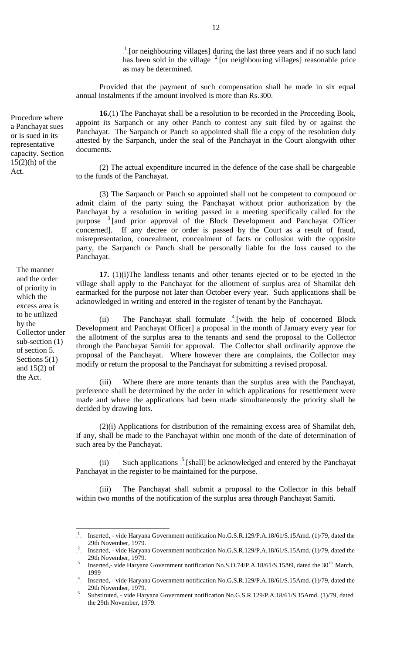$1$ -[or neighbouring villages] during the last three years and if no such land has been sold in the village  $^{2}$  [or neighbouring villages] reasonable price as may be determined.

Provided that the payment of such compensation shall be made in six equal annual instalments if the amount involved is more than Rs.300.

**16.**(1) The Panchayat shall be a resolution to be recorded in the Proceeding Book, appoint its Sarpanch or any other Panch to contest any suit filed by or against the Panchayat. The Sarpanch or Panch so appointed shall file a copy of the resolution duly attested by the Sarpanch, under the seal of the Panchayat in the Court alongwith other documents.

(2) The actual expenditure incurred in the defence of the case shall be chargeable to the funds of the Panchayat.

(3) The Sarpanch or Panch so appointed shall not be competent to compound or admit claim of the party suing the Panchayat without prior authorization by the Panchayat by a resolution in writing passed in a meeting specifically called for the purpose <sup>3</sup> [and prior approval of the Block Development and Panchayat Officer concerned]. If any decree or order is passed by the Court as a result of fraud, misrepresentation, concealment, concealment of facts or collusion with the opposite party, the Sarpanch or Panch shall be personally liable for the loss caused to the Panchayat.

**17.** (1)(i)The landless tenants and other tenants ejected or to be ejected in the village shall apply to the Panchayat for the allotment of surplus area of Shamilat deh earmarked for the purpose not later than October every year. Such applications shall be acknowledged in writing and entered in the register of tenant by the Panchayat.

(ii) The Panchayat shall formulate  $\frac{4}{3}$  [with the help of concerned Block Development and Panchayat Officer] a proposal in the month of January every year for the allotment of the surplus area to the tenants and send the proposal to the Collector through the Panchayat Samiti for approval. The Collector shall ordinarily approve the proposal of the Panchayat. Where however there are complaints, the Collector may modify or return the proposal to the Panchayat for submitting a revised proposal.

(iii) Where there are more tenants than the surplus area with the Panchayat, preference shall be determined by the order in which applications for resettlement were made and where the applications had been made simultaneously the priority shall be decided by drawing lots.

(2)(i) Applications for distribution of the remaining excess area of Shamilat deh, if any, shall be made to the Panchayat within one month of the date of determination of such area by the Panchayat.

(ii) Such applications  $\frac{5}{5}$  [shall] be acknowledged and entered by the Panchayat Panchayat in the register to be maintained for the purpose.

(iii) The Panchayat shall submit a proposal to the Collector in this behalf within two months of the notification of the surplus area through Panchayat Samiti.

The manner and the order of priority in which the excess area is to be utilized by the Collector under sub-section (1) of section 5. Sections 5(1) and  $15(2)$  of the Act.

 $\frac{1}{\sqrt{2}}$ Inserted, - vide Haryana Government notification No.G.S.R.129/P.A.18/61/S.15Amd. (1)/79, dated the 29th November, 1979.

<sup>&</sup>lt;sup>2</sup> Inserted, - vide Haryana Government notification No.G.S.R.129/P.A.18/61/S.15Amd. (1)/79, dated the 29th November, 1979.

<sup>&</sup>lt;sup>3</sup> Inserted,- vide Haryana Government notification No.S.O.74/P.A.18/61/S.15/99, dated the 30<sup>th</sup> March, 1999

<sup>4</sup> Inserted, - vide Haryana Government notification No.G.S.R.129/P.A.18/61/S.15Amd. (1)/79, dated the 29th November, 1979.

 $5$  Substituted, - vide Haryana Government notification No.G.S.R.129/P.A.18/61/S.15Amd. (1)/79, dated the 29th November, 1979.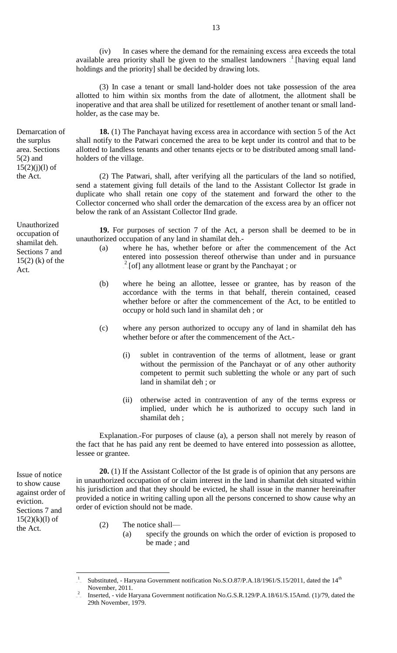(iv) In cases where the demand for the remaining excess area exceeds the total available area priority shall be given to the smallest landowners  $\frac{1}{n}$  [having equal land holdings and the priority] shall be decided by drawing lots.

(3) In case a tenant or small land-holder does not take possession of the area allotted to him within six months from the date of allotment, the allotment shall be inoperative and that area shall be utilized for resettlement of another tenant or small landholder, as the case may be.

**18.** (1) The Panchayat having excess area in accordance with section 5 of the Act shall notify to the Patwari concerned the area to be kept under its control and that to be allotted to landless tenants and other tenants ejects or to be distributed among small landholders of the village.

(2) The Patwari, shall, after verifying all the particulars of the land so notified, send a statement giving full details of the land to the Assistant Collector Ist grade in duplicate who shall retain one copy of the statement and forward the other to the Collector concerned who shall order the demarcation of the excess area by an officer not below the rank of an Assistant Collector IInd grade.

**19.** For purposes of section 7 of the Act, a person shall be deemed to be in unauthorized occupation of any land in shamilat deh.-

- (a) where he has, whether before or after the commencement of the Act entered into possession thereof otherwise than under and in pursuance  $2\degree$ [of] any allotment lease or grant by the Panchayat ; or
- (b) where he being an allottee, lessee or grantee, has by reason of the accordance with the terms in that behalf, therein contained, ceased whether before or after the commencement of the Act, to be entitled to occupy or hold such land in shamilat deh ; or
- (c) where any person authorized to occupy any of land in shamilat deh has whether before or after the commencement of the Act.-
	- (i) sublet in contravention of the terms of allotment, lease or grant without the permission of the Panchayat or of any other authority competent to permit such subletting the whole or any part of such land in shamilat deh ; or
	- (ii) otherwise acted in contravention of any of the terms express or implied, under which he is authorized to occupy such land in shamilat deh ;

Explanation.-For purposes of clause (a), a person shall not merely by reason of the fact that he has paid any rent be deemed to have entered into possession as allottee, lessee or grantee.

**20.** (1) If the Assistant Collector of the Ist grade is of opinion that any persons are in unauthorized occupation of or claim interest in the land in shamilat deh situated within his jurisdiction and that they should be evicted, he shall issue in the manner hereinafter provided a notice in writing calling upon all the persons concerned to show cause why an order of eviction should not be made.

- (2) The notice shall—
	- (a) specify the grounds on which the order of eviction is proposed to be made ; and

Unauthorized occupation of Sections 7 and

Demarcation of the surplus area. Sections 5(2) and  $15(2)(i)(l)$  of the Act.

shamilat deh. 15(2) (k) of the Act.

Issue of notice to show cause against order of eviction. Sections 7 and  $15(2)(k)(l)$  of the Act.

<sup>1</sup> Substituted, - Haryana Government notification No.S.O.87/P.A.18/1961/S.15/2011, dated the 14<sup>th</sup> November, 2011.

<sup>2</sup> Inserted, - vide Haryana Government notification No.G.S.R.129/P.A.18/61/S.15Amd. (1)/79, dated the 29th November, 1979.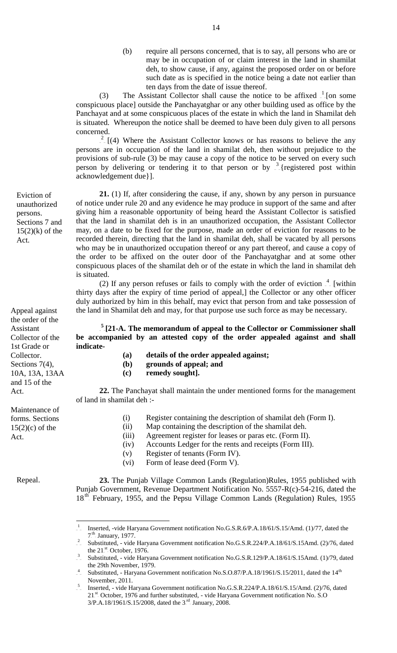(b) require all persons concerned, that is to say, all persons who are or may be in occupation of or claim interest in the land in shamilat deh, to show cause, if any, against the proposed order on or before such date as is specified in the notice being a date not earlier than ten days from the date of issue thereof.

(3) The Assistant Collector shall cause the notice to be affixed  $\frac{1}{\epsilon}$  [on some conspicuous place] outside the Panchayatghar or any other building used as office by the Panchayat and at some conspicuous places of the estate in which the land in Shamilat deh is situated. Whereupon the notice shall be deemed to have been duly given to all persons concerned.

 $\frac{2}{\pi}$  [(4) Where the Assistant Collector knows or has reasons to believe the any persons are in occupation of the land in shamilat deh, then without prejudice to the provisions of sub-rule (3) be may cause a copy of the notice to be served on every such person by delivering or tendering it to that person or by  $\frac{3}{2}$  (registered post within acknowledgement due}].

**21.** (1) If, after considering the cause, if any, shown by any person in pursuance of notice under rule 20 and any evidence he may produce in support of the same and after giving him a reasonable opportunity of being heard the Assistant Collector is satisfied that the land in shamilat deh is in an unauthorized occupation, the Assistant Collector may, on a date to be fixed for the purpose, made an order of eviction for reasons to be recorded therein, directing that the land in shamilat deh, shall be vacated by all persons who may be in unauthorized occupation thereof or any part thereof, and cause a copy of the order to be affixed on the outer door of the Panchayatghar and at some other conspicuous places of the shamilat deh or of the estate in which the land in shamilat deh is situated.

(2) If any person refuses or fails to comply with the order of eviction  $\frac{4}{\epsilon}$  [within thirty days after the expiry of time period of appeal,] the Collector or any other officer duly authorized by him in this behalf, may evict that person from and take possession of the land in Shamilat deh and may, for that purpose use such force as may be necessary.

<sup>5</sup> [21-A. The memorandum of appeal to the Collector or Commissioner shall **be accompanied by an attested copy of the order appealed against and shall indicate-**

- **(a) details of the order appealed against;**
- **(b) grounds of appeal; and**
- **(c) remedy sought].**

**22.** The Panchayat shall maintain the under mentioned forms for the management of land in shamilat deh :-

- (i) Register containing the description of shamilat deh (Form I).
- (ii) Map containing the description of the shamilat deh.
- (iii) Agreement register for leases or paras etc. (Form II).
- (iv) Accounts Ledger for the rents and receipts (Form III).
- (v) Register of tenants (Form IV).
- (vi) Form of lease deed (Form V).

Repeal.

 $\overline{a}$ 

**23.** The Punjab Village Common Lands (Regulation)Rules, 1955 published with Punjab Government, Revenue Department Notification No. 5557-R(c)-54-216, dated the 18<sup>th</sup> February, 1955, and the Pepsu Village Common Lands (Regulation) Rules, 1955

14

unauthorized persons. Sections 7 and  $15(2)(k)$  of the Act.

Eviction of

Appeal against the order of the Assistant Collector of the 1st Grade or Collector. Sections 7(4), 10A, 13A, 13AA and 15 of the Act.

Maintenance of forms. Sections  $15(2)(c)$  of the Act.

 $\frac{1}{\sqrt{2}}$ Inserted, -vide Haryana Government notification No.G.S.R.6/P.A.18/61/S.15/Amd. (1)/77, dated the  $7<sup>th</sup>$  January, 1977.

<sup>&</sup>lt;sup>2</sup> Substituted, - vide Haryana Government notification No.G.S.R.224/P.A.18/61/S.15Amd. (2)/76, dated the  $21<sup>st</sup>$ . October, 1976.

<sup>&</sup>lt;sup>3</sup> Substituted, - vide Haryana Government notification No.G.S.R.129/P.A.18/61/S.15Amd. (1)/79, dated the 29th November, 1979.

<sup>&</sup>lt;sup>4</sup> Substituted, - Haryana Government notification No.S.O.87/P.A.18/1961/S.15/2011, dated the 14<sup>th</sup> November, 2011.

<sup>5</sup> Inserted, - vide Haryana Government notification No.G.S.R.224/P.A.18/61/S.15/Amd. (2)/76, dated 21<sup>st</sup> October, 1976 and further substituted, - vide Haryana Government notification No. S.O  $3/P.A.18/1961/S.15/2008$ , dated the  $3<sup>rd</sup>$  January, 2008.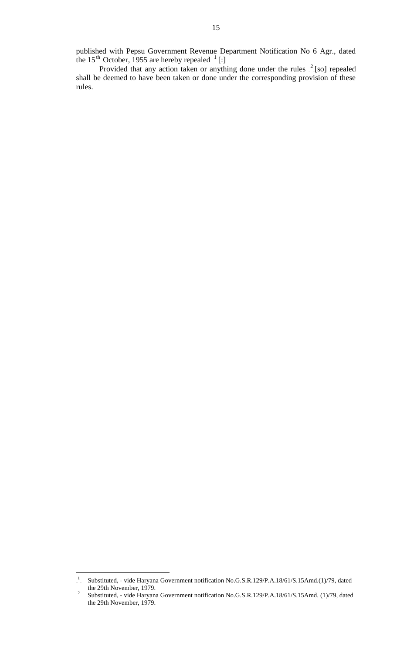published with Pepsu Government Revenue Department Notification No 6 Agr., dated the 15<sup>th</sup> October, 1955 are hereby repealed  $\frac{1}{1}$ [:]

Provided that any action taken or anything done under the rules  $\frac{2}{\epsilon}$ [so] repealed shall be deemed to have been taken or done under the corresponding provision of these rules.

 $\overline{a}$  $\frac{1}{\sqrt{2}}$ Substituted, - vide Haryana Government notification No.G.S.R.129/P.A.18/61/S.15Amd.(1)/79, dated the 29th November, 1979.

 $\frac{2}{\pi}$ Substituted, - vide Haryana Government notification No.G.S.R.129/P.A.18/61/S.15Amd. (1)/79, dated the 29th November, 1979.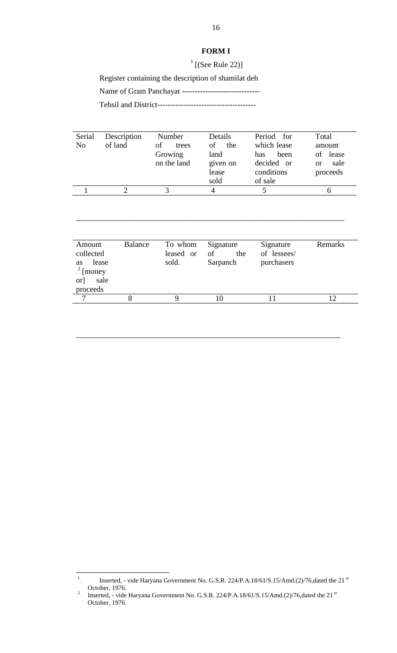#### **FORM I**

 $\frac{1}{2}$ [(See Rule 22)]

Register containing the description of shamilat deh

Name of Gram Panchayat ------------------------------

Tehsil and District--------------------------------------

| Serial<br>N <sub>0</sub> | Description<br>of land | Number<br>οf<br>trees<br>Growing<br>on the land | Details<br>οf<br>the<br>land<br>given on<br>lease<br>sold | Period for<br>which lease<br>been<br>has<br>decided or<br>conditions<br>of sale | Total<br>amount<br>of lease<br>sale<br><sub>or</sub><br>proceeds |
|--------------------------|------------------------|-------------------------------------------------|-----------------------------------------------------------|---------------------------------------------------------------------------------|------------------------------------------------------------------|
|                          |                        | 3                                               | 4                                                         |                                                                                 | 6                                                                |
|                          |                        |                                                 |                                                           |                                                                                 |                                                                  |

\_\_\_\_\_\_\_\_\_\_\_\_\_\_\_\_\_\_\_\_\_\_\_\_\_\_\_\_\_\_\_\_\_\_\_\_\_\_\_\_\_\_\_\_\_\_\_\_\_\_\_\_\_\_\_\_\_\_\_\_\_\_\_\_\_\_\_\_\_

| Amount<br>collected                                 | Balance | To whom<br>leased or | Signature<br>of<br>the | Signature<br>of lessees/ | Remarks |
|-----------------------------------------------------|---------|----------------------|------------------------|--------------------------|---------|
| lease<br>as<br>$\frac{2}{2}$ [money]<br>sale<br>or] |         | sold.                | Sarpanch               | purchasers               |         |
| proceeds                                            |         |                      |                        |                          |         |
| $\mathbf \tau$                                      |         |                      | 10                     |                          |         |

\_\_\_\_\_\_\_\_\_\_\_\_\_\_\_\_\_\_\_\_\_\_\_\_\_\_\_\_\_\_\_\_\_\_\_\_\_\_\_\_\_\_\_\_\_\_\_\_\_\_\_\_\_\_\_\_\_\_\_\_\_\_\_\_\_\_\_\_

 $\frac{1}{\sqrt{2}}$ Inserted, - vide Haryana Government No. G.S.R. 224/P.A.18/61/S.15/Amd.(2)/76,dated the 21<sup>st</sup> October, 1976.

<sup>&</sup>lt;sup>2</sup> Inserted, - vide Haryana Government No. G.S.R. 224/P.A.18/61/S.15/Amd.(2)/76,dated the 21<sup>st</sup>. October, 1976.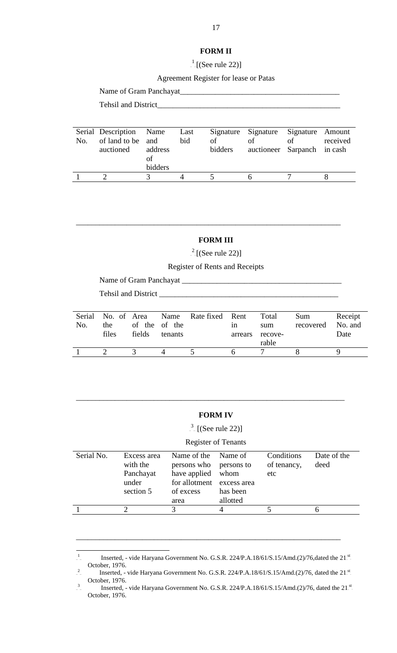#### **FORM II**

 $\frac{1}{2}$ [(See rule 22)]

Agreement Register for lease or Patas

## Name of Gram Panchayat\_\_\_\_\_\_\_\_\_\_\_\_\_\_\_\_\_\_\_\_\_\_\_\_\_\_\_\_\_\_\_\_\_\_\_\_\_\_\_\_\_

Tehsil and District\_\_\_\_\_\_\_\_\_\_\_\_\_\_\_\_\_\_\_\_\_\_\_\_\_\_\_\_\_\_\_\_\_\_\_\_\_\_\_\_\_\_\_\_\_\_\_

| No. | Serial Description Name<br>of land to be and<br>auctioned | address<br>ОŤ<br>bidders | Last<br>bid | of<br>bidders | Signature Signature Signature Amount<br>of<br>auctioneer Sarpanch in cash | οf | received |
|-----|-----------------------------------------------------------|--------------------------|-------------|---------------|---------------------------------------------------------------------------|----|----------|
|     |                                                           |                          |             |               |                                                                           |    |          |
|     |                                                           |                          |             |               |                                                                           |    |          |

## **FORM III**

\_\_\_\_\_\_\_\_\_\_\_\_\_\_\_\_\_\_\_\_\_\_\_\_\_\_\_\_\_\_\_\_\_\_\_\_\_\_\_\_\_\_\_\_\_\_\_\_\_\_\_\_\_\_\_\_\_\_\_\_\_\_\_\_\_\_\_\_

 $\frac{2}{5}$ [(See rule 22)]

Register of Rents and Receipts

Name of Gram Panchayat \_\_\_\_\_\_\_\_\_\_\_\_\_\_\_\_\_\_\_\_\_\_\_\_\_\_\_\_\_\_\_\_\_\_\_\_\_\_\_\_\_

Tehsil and District \_\_\_\_\_\_\_\_\_\_\_\_\_\_\_\_\_\_\_\_\_\_\_\_\_\_\_\_\_\_\_\_\_\_\_\_\_\_\_\_\_\_\_\_\_\_

 $\overline{a}$ 

| No. | Serial No. of Area<br>the<br>files | of the of the<br>fields | tenants | Name Rate fixed Rent | 1n<br>arrears | Total<br>sum<br>recove-<br>rable | Sum<br>recovered | Receipt<br>No. and<br>Date |
|-----|------------------------------------|-------------------------|---------|----------------------|---------------|----------------------------------|------------------|----------------------------|
|     |                                    |                         |         |                      |               |                                  |                  |                            |

#### **FORM IV**

\_\_\_\_\_\_\_\_\_\_\_\_\_\_\_\_\_\_\_\_\_\_\_\_\_\_\_\_\_\_\_\_\_\_\_\_\_\_\_\_\_\_\_\_\_\_\_\_\_\_\_\_\_\_\_\_\_\_\_\_\_\_\_\_\_\_\_\_\_

 $\frac{3}{5}$  [(See rule 22)]

#### Register of Tenants

| Serial No. | Excess area<br>with the<br>Panchayat<br>under<br>section 5 | Name of the Name of<br>persons who<br>have applied whom<br>for allotment excess area<br>of excess<br>area | persons to<br>has been<br>allotted | Conditions<br>of tenancy,<br>etc | Date of the<br>deed |
|------------|------------------------------------------------------------|-----------------------------------------------------------------------------------------------------------|------------------------------------|----------------------------------|---------------------|
|            |                                                            |                                                                                                           |                                    |                                  |                     |

\_\_\_\_\_\_\_\_\_\_\_\_\_\_\_\_\_\_\_\_\_\_\_\_\_\_\_\_\_\_\_\_\_\_\_\_\_\_\_\_\_\_\_\_\_\_\_\_\_\_\_\_\_\_\_\_\_\_\_\_\_\_\_\_\_\_\_\_

 $\frac{1}{\epsilon}$ Inserted, - vide Haryana Government No. G.S.R. 224/P.A.18/61/S.15/Amd.(2)/76,dated the 21<sup>st</sup> October, 1976. 2

Inserted, - vide Haryana Government No. G.S.R. 224/P.A.18/61/S.15/Amd.(2)/76, dated the 21 $^{st}$ October, 1976.

 $\frac{3}{2}$ Inserted, - vide Haryana Government No. G.S.R. 224/P.A.18/61/S.15/Amd.(2)/76, dated the 21<sup>st</sup> October, 1976.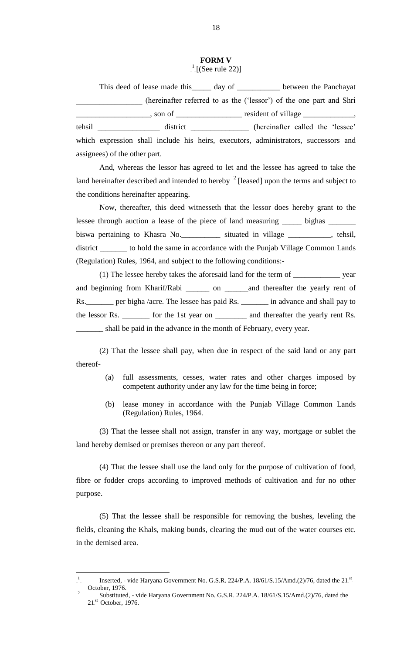### **FORM V**  $\frac{1}{2}$ [(See rule 22)]

This deed of lease made this \_\_\_\_\_ day of \_\_\_\_\_\_\_\_\_\_\_ between the Panchayat \_\_\_\_\_\_\_\_\_\_\_\_\_\_\_\_\_ (hereinafter referred to as the ('lessor') of the one part and Shri \_\_\_\_\_\_\_\_\_\_\_\_\_\_\_\_\_\_\_, son of \_\_\_\_\_\_\_\_\_\_\_\_\_\_\_\_\_ resident of village \_\_\_\_\_\_\_\_\_\_\_\_\_, tehsil \_\_\_\_\_\_\_\_\_\_\_\_\_\_\_\_ district \_\_\_\_\_\_\_\_\_\_\_\_\_\_\_ (hereinafter called the 'lessee' which expression shall include his heirs, executors, administrators, successors and assignees) of the other part.

And, whereas the lessor has agreed to let and the lessee has agreed to take the land hereinafter described and intended to hereby  $2$ -[leased] upon the terms and subject to the conditions hereinafter appearing.

Now, thereafter, this deed witnesseth that the lessor does hereby grant to the lessee through auction a lease of the piece of land measuring \_\_\_\_\_\_ bighas \_\_\_\_\_\_\_ biswa pertaining to Khasra No.\_\_\_\_\_\_\_\_\_\_ situated in village \_\_\_\_\_\_\_\_\_\_\_, tehsil, district \_\_\_\_\_\_\_ to hold the same in accordance with the Punjab Village Common Lands (Regulation) Rules, 1964, and subject to the following conditions:-

(1) The lessee hereby takes the aforesaid land for the term of \_\_\_\_\_\_\_\_\_\_\_\_ year and beginning from Kharif/Rabi \_\_\_\_\_\_ on \_\_\_\_\_\_and thereafter the yearly rent of Rs. per bigha /acre. The lessee has paid Rs. \_\_\_\_\_\_\_ in advance and shall pay to the lessor Rs. \_\_\_\_\_\_\_ for the 1st year on \_\_\_\_\_\_\_\_ and thereafter the yearly rent Rs. \_\_\_\_\_\_\_ shall be paid in the advance in the month of February, every year.

(2) That the lessee shall pay, when due in respect of the said land or any part thereof-

- (a) full assessments, cesses, water rates and other charges imposed by competent authority under any law for the time being in force;
- (b) lease money in accordance with the Punjab Village Common Lands (Regulation) Rules, 1964.

(3) That the lessee shall not assign, transfer in any way, mortgage or sublet the land hereby demised or premises thereon or any part thereof.

(4) That the lessee shall use the land only for the purpose of cultivation of food, fibre or fodder crops according to improved methods of cultivation and for no other purpose.

(5) That the lessee shall be responsible for removing the bushes, leveling the fields, cleaning the Khals, making bunds, clearing the mud out of the water courses etc. in the demised area.

<sup>1</sup> Inserted, - vide Haryana Government No. G.S.R. 224/P.A.  $18/61/S.15/Amd.(2)/76$ , dated the 21<sup>st</sup> October, 1976. 2

Substituted, - vide Haryana Government No. G.S.R. 224/P.A. 18/61/S.15/Amd.(2)/76, dated the  $21<sup>st</sup>$  October, 1976.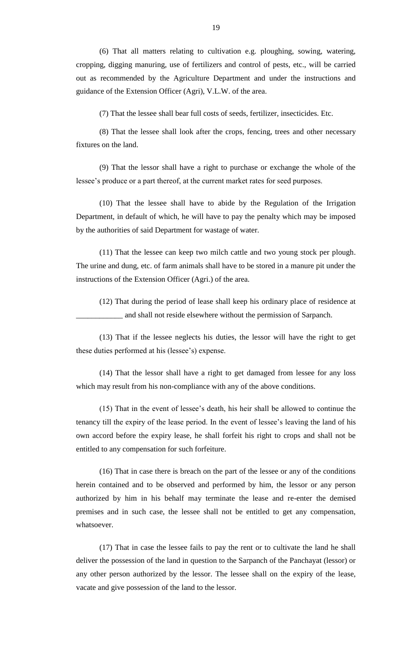(6) That all matters relating to cultivation e.g. ploughing, sowing, watering, cropping, digging manuring, use of fertilizers and control of pests, etc., will be carried out as recommended by the Agriculture Department and under the instructions and guidance of the Extension Officer (Agri), V.L.W. of the area.

(7) That the lessee shall bear full costs of seeds, fertilizer, insecticides. Etc.

(8) That the lessee shall look after the crops, fencing, trees and other necessary fixtures on the land.

(9) That the lessor shall have a right to purchase or exchange the whole of the lessee's produce or a part thereof, at the current market rates for seed purposes.

(10) That the lessee shall have to abide by the Regulation of the Irrigation Department, in default of which, he will have to pay the penalty which may be imposed by the authorities of said Department for wastage of water.

(11) That the lessee can keep two milch cattle and two young stock per plough. The urine and dung, etc. of farm animals shall have to be stored in a manure pit under the instructions of the Extension Officer (Agri.) of the area.

(12) That during the period of lease shall keep his ordinary place of residence at \_\_\_\_\_\_\_\_\_\_\_\_ and shall not reside elsewhere without the permission of Sarpanch.

(13) That if the lessee neglects his duties, the lessor will have the right to get these duties performed at his (lessee's) expense.

(14) That the lessor shall have a right to get damaged from lessee for any loss which may result from his non-compliance with any of the above conditions.

(15) That in the event of lessee's death, his heir shall be allowed to continue the tenancy till the expiry of the lease period. In the event of lessee's leaving the land of his own accord before the expiry lease, he shall forfeit his right to crops and shall not be entitled to any compensation for such forfeiture.

(16) That in case there is breach on the part of the lessee or any of the conditions herein contained and to be observed and performed by him, the lessor or any person authorized by him in his behalf may terminate the lease and re-enter the demised premises and in such case, the lessee shall not be entitled to get any compensation, whatsoever.

(17) That in case the lessee fails to pay the rent or to cultivate the land he shall deliver the possession of the land in question to the Sarpanch of the Panchayat (lessor) or any other person authorized by the lessor. The lessee shall on the expiry of the lease, vacate and give possession of the land to the lessor.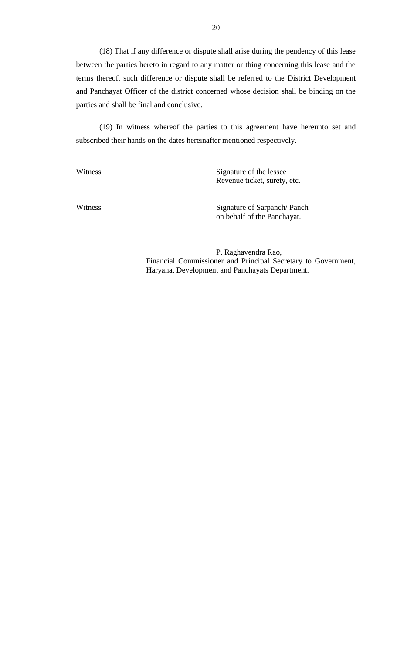(18) That if any difference or dispute shall arise during the pendency of this lease between the parties hereto in regard to any matter or thing concerning this lease and the terms thereof, such difference or dispute shall be referred to the District Development and Panchayat Officer of the district concerned whose decision shall be binding on the parties and shall be final and conclusive.

(19) In witness whereof the parties to this agreement have hereunto set and subscribed their hands on the dates hereinafter mentioned respectively.

Witness Signature of the lessee Revenue ticket, surety, etc.

Witness Signature of Sarpanch/ Panch on behalf of the Panchayat.

> P. Raghavendra Rao, Financial Commissioner and Principal Secretary to Government, Haryana, Development and Panchayats Department.